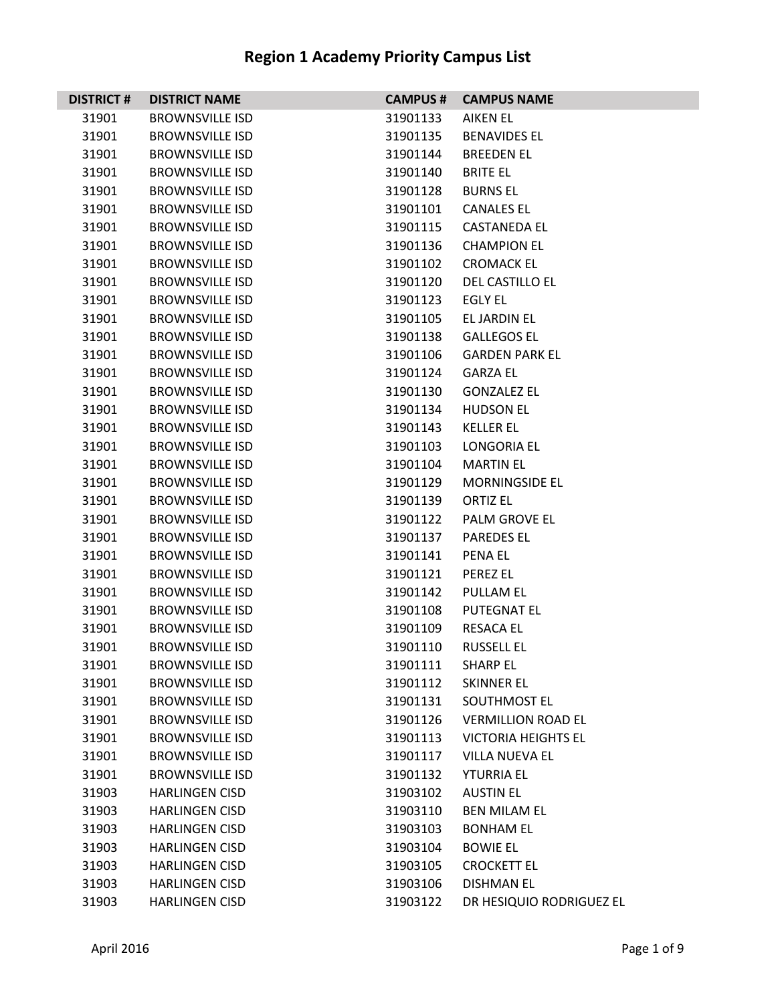| <b>DISTRICT#</b> | <b>DISTRICT NAME</b>   | <b>CAMPUS #</b> | <b>CAMPUS NAME</b>         |
|------------------|------------------------|-----------------|----------------------------|
| 31901            | <b>BROWNSVILLE ISD</b> | 31901133        | AIKEN EL                   |
| 31901            | <b>BROWNSVILLE ISD</b> | 31901135        | <b>BENAVIDES EL</b>        |
| 31901            | <b>BROWNSVILLE ISD</b> | 31901144        | <b>BREEDEN EL</b>          |
| 31901            | <b>BROWNSVILLE ISD</b> | 31901140        | <b>BRITE EL</b>            |
| 31901            | <b>BROWNSVILLE ISD</b> | 31901128        | <b>BURNS EL</b>            |
| 31901            | <b>BROWNSVILLE ISD</b> | 31901101        | <b>CANALES EL</b>          |
| 31901            | <b>BROWNSVILLE ISD</b> | 31901115        | <b>CASTANEDA EL</b>        |
| 31901            | <b>BROWNSVILLE ISD</b> | 31901136        | <b>CHAMPION EL</b>         |
| 31901            | <b>BROWNSVILLE ISD</b> | 31901102        | <b>CROMACK EL</b>          |
| 31901            | <b>BROWNSVILLE ISD</b> | 31901120        | DEL CASTILLO EL            |
| 31901            | <b>BROWNSVILLE ISD</b> | 31901123        | EGLY EL                    |
| 31901            | <b>BROWNSVILLE ISD</b> | 31901105        | EL JARDIN EL               |
| 31901            | <b>BROWNSVILLE ISD</b> | 31901138        | <b>GALLEGOS EL</b>         |
| 31901            | <b>BROWNSVILLE ISD</b> | 31901106        | <b>GARDEN PARK EL</b>      |
| 31901            | <b>BROWNSVILLE ISD</b> | 31901124        | <b>GARZA EL</b>            |
| 31901            | <b>BROWNSVILLE ISD</b> | 31901130        | <b>GONZALEZ EL</b>         |
| 31901            | <b>BROWNSVILLE ISD</b> | 31901134        | <b>HUDSON EL</b>           |
| 31901            | <b>BROWNSVILLE ISD</b> | 31901143        | <b>KELLER EL</b>           |
| 31901            | <b>BROWNSVILLE ISD</b> | 31901103        | LONGORIA EL                |
| 31901            | <b>BROWNSVILLE ISD</b> | 31901104        | <b>MARTIN EL</b>           |
| 31901            | <b>BROWNSVILLE ISD</b> | 31901129        | MORNINGSIDE EL             |
| 31901            | <b>BROWNSVILLE ISD</b> | 31901139        | <b>ORTIZ EL</b>            |
| 31901            | <b>BROWNSVILLE ISD</b> | 31901122        | PALM GROVE EL              |
| 31901            | <b>BROWNSVILLE ISD</b> | 31901137        | <b>PAREDES EL</b>          |
| 31901            | <b>BROWNSVILLE ISD</b> | 31901141        | <b>PENA EL</b>             |
| 31901            | <b>BROWNSVILLE ISD</b> | 31901121        | <b>PEREZ EL</b>            |
| 31901            | <b>BROWNSVILLE ISD</b> | 31901142        | <b>PULLAM EL</b>           |
| 31901            | <b>BROWNSVILLE ISD</b> | 31901108        | <b>PUTEGNAT EL</b>         |
| 31901            | <b>BROWNSVILLE ISD</b> | 31901109        | <b>RESACA EL</b>           |
| 31901            | <b>BROWNSVILLE ISD</b> | 31901110        | <b>RUSSELL EL</b>          |
| 31901            | <b>BROWNSVILLE ISD</b> | 31901111        | <b>SHARP EL</b>            |
| 31901            | <b>BROWNSVILLE ISD</b> | 31901112        | <b>SKINNER EL</b>          |
| 31901            | <b>BROWNSVILLE ISD</b> | 31901131        | SOUTHMOST EL               |
| 31901            | <b>BROWNSVILLE ISD</b> | 31901126        | <b>VERMILLION ROAD EL</b>  |
| 31901            | <b>BROWNSVILLE ISD</b> | 31901113        | <b>VICTORIA HEIGHTS EL</b> |
| 31901            | <b>BROWNSVILLE ISD</b> | 31901117        | <b>VILLA NUEVA EL</b>      |
| 31901            | <b>BROWNSVILLE ISD</b> | 31901132        | <b>YTURRIA EL</b>          |
| 31903            | <b>HARLINGEN CISD</b>  | 31903102        | <b>AUSTIN EL</b>           |
| 31903            | <b>HARLINGEN CISD</b>  | 31903110        | <b>BEN MILAM EL</b>        |
| 31903            | <b>HARLINGEN CISD</b>  | 31903103        | <b>BONHAM EL</b>           |
| 31903            | <b>HARLINGEN CISD</b>  | 31903104        | <b>BOWIE EL</b>            |
| 31903            | <b>HARLINGEN CISD</b>  | 31903105        | <b>CROCKETT EL</b>         |
| 31903            | <b>HARLINGEN CISD</b>  | 31903106        | <b>DISHMAN EL</b>          |
| 31903            | <b>HARLINGEN CISD</b>  | 31903122        | DR HESIQUIO RODRIGUEZ EL   |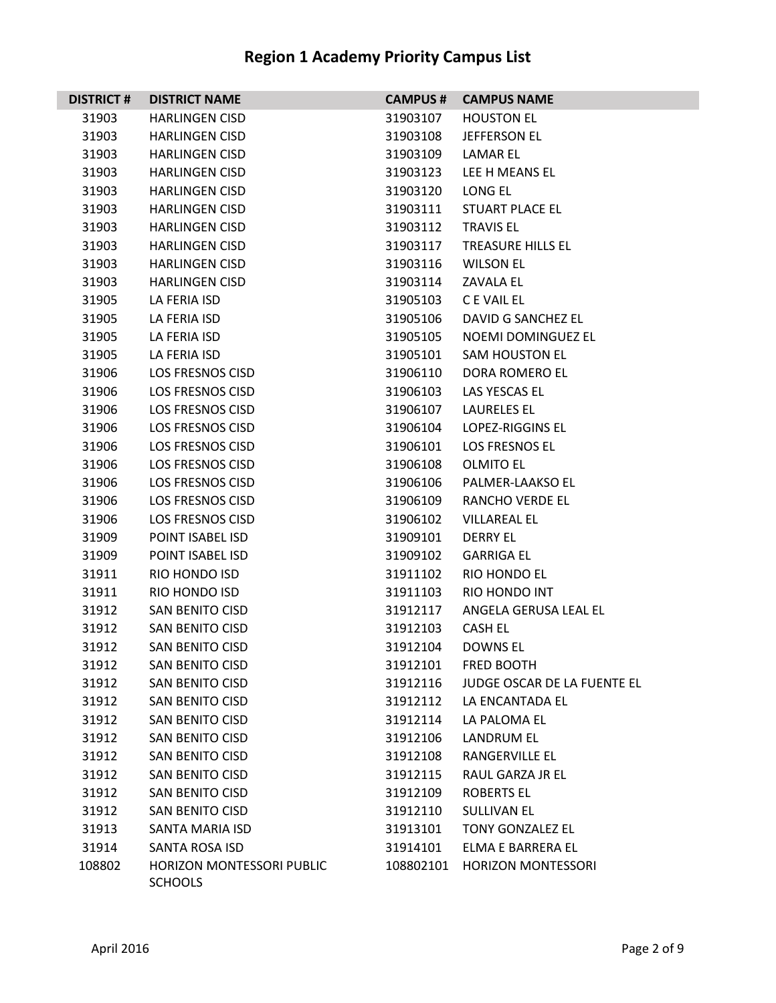| <b>DISTRICT#</b> | <b>DISTRICT NAME</b>                               | <b>CAMPUS#</b> | <b>CAMPUS NAME</b>          |
|------------------|----------------------------------------------------|----------------|-----------------------------|
| 31903            | <b>HARLINGEN CISD</b>                              | 31903107       | <b>HOUSTON EL</b>           |
| 31903            | <b>HARLINGEN CISD</b>                              | 31903108       | <b>JEFFERSON EL</b>         |
| 31903            | <b>HARLINGEN CISD</b>                              | 31903109       | LAMAR EL                    |
| 31903            | <b>HARLINGEN CISD</b>                              | 31903123       | LEE H MEANS EL              |
| 31903            | <b>HARLINGEN CISD</b>                              | 31903120       | LONG EL                     |
| 31903            | <b>HARLINGEN CISD</b>                              | 31903111       | <b>STUART PLACE EL</b>      |
| 31903            | <b>HARLINGEN CISD</b>                              | 31903112       | <b>TRAVIS EL</b>            |
| 31903            | <b>HARLINGEN CISD</b>                              | 31903117       | <b>TREASURE HILLS EL</b>    |
| 31903            | <b>HARLINGEN CISD</b>                              | 31903116       | <b>WILSON EL</b>            |
| 31903            | <b>HARLINGEN CISD</b>                              | 31903114       | ZAVALA EL                   |
| 31905            | LA FERIA ISD                                       | 31905103       | C E VAIL EL                 |
| 31905            | LA FERIA ISD                                       | 31905106       | DAVID G SANCHEZ EL          |
| 31905            | LA FERIA ISD                                       | 31905105       | <b>NOEMI DOMINGUEZ EL</b>   |
| 31905            | LA FERIA ISD                                       | 31905101       | SAM HOUSTON EL              |
| 31906            | <b>LOS FRESNOS CISD</b>                            | 31906110       | DORA ROMERO EL              |
| 31906            | <b>LOS FRESNOS CISD</b>                            | 31906103       | LAS YESCAS EL               |
| 31906            | <b>LOS FRESNOS CISD</b>                            | 31906107       | <b>LAURELES EL</b>          |
| 31906            | <b>LOS FRESNOS CISD</b>                            | 31906104       | <b>LOPEZ-RIGGINS EL</b>     |
| 31906            | <b>LOS FRESNOS CISD</b>                            | 31906101       | <b>LOS FRESNOS EL</b>       |
| 31906            | <b>LOS FRESNOS CISD</b>                            | 31906108       | <b>OLMITO EL</b>            |
| 31906            | <b>LOS FRESNOS CISD</b>                            | 31906106       | PALMER-LAAKSO EL            |
| 31906            | <b>LOS FRESNOS CISD</b>                            | 31906109       | <b>RANCHO VERDE EL</b>      |
| 31906            | <b>LOS FRESNOS CISD</b>                            | 31906102       | <b>VILLAREAL EL</b>         |
| 31909            | POINT ISABEL ISD                                   | 31909101       | <b>DERRY EL</b>             |
| 31909            | POINT ISABEL ISD                                   | 31909102       | <b>GARRIGA EL</b>           |
| 31911            | RIO HONDO ISD                                      | 31911102       | RIO HONDO EL                |
| 31911            | RIO HONDO ISD                                      | 31911103       | RIO HONDO INT               |
| 31912            | SAN BENITO CISD                                    | 31912117       | ANGELA GERUSA LEAL EL       |
| 31912            | SAN BENITO CISD                                    | 31912103       | <b>CASH EL</b>              |
| 31912            | <b>SAN BENITO CISD</b>                             | 31912104       | <b>DOWNS EL</b>             |
| 31912            | SAN BENITO CISD                                    | 31912101       | <b>FRED BOOTH</b>           |
| 31912            | <b>SAN BENITO CISD</b>                             | 31912116       | JUDGE OSCAR DE LA FUENTE EL |
| 31912            | SAN BENITO CISD                                    | 31912112       | LA ENCANTADA EL             |
| 31912            | <b>SAN BENITO CISD</b>                             | 31912114       | LA PALOMA EL                |
| 31912            | SAN BENITO CISD                                    | 31912106       | <b>LANDRUM EL</b>           |
| 31912            | <b>SAN BENITO CISD</b>                             | 31912108       | RANGERVILLE EL              |
| 31912            | SAN BENITO CISD                                    | 31912115       | RAUL GARZA JR EL            |
| 31912            | SAN BENITO CISD                                    | 31912109       | <b>ROBERTS EL</b>           |
| 31912            | <b>SAN BENITO CISD</b>                             | 31912110       | <b>SULLIVAN EL</b>          |
| 31913            | SANTA MARIA ISD                                    | 31913101       | TONY GONZALEZ EL            |
| 31914            | <b>SANTA ROSA ISD</b>                              | 31914101       | ELMA E BARRERA EL           |
| 108802           | <b>HORIZON MONTESSORI PUBLIC</b><br><b>SCHOOLS</b> | 108802101      | <b>HORIZON MONTESSORI</b>   |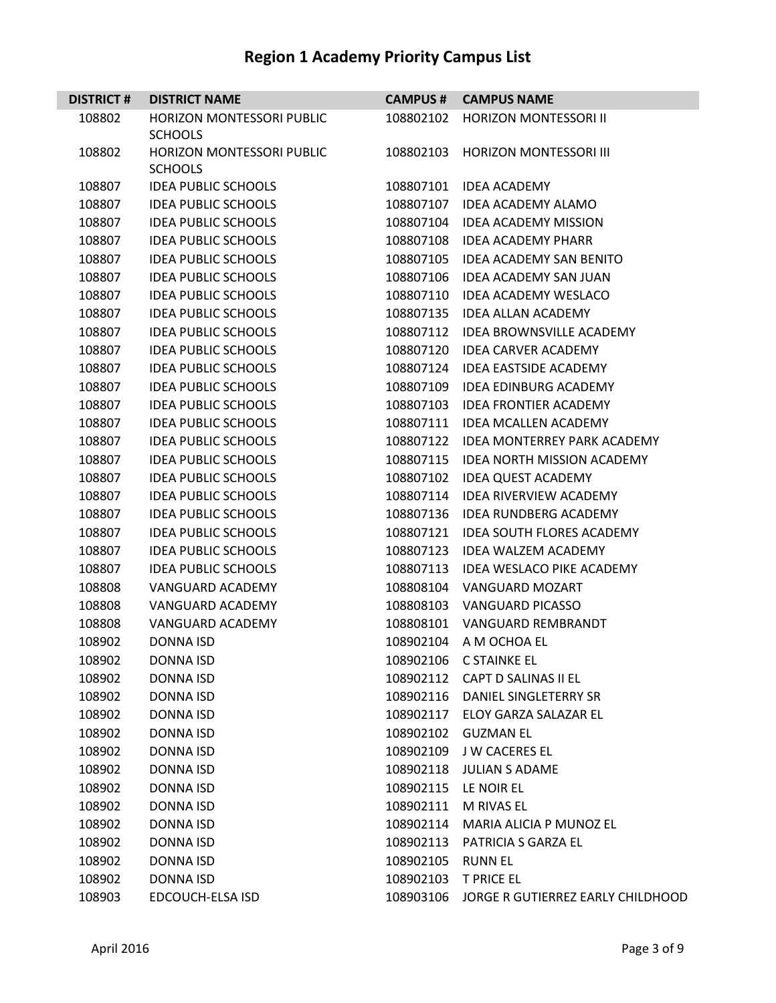| <b>DISTRICT#</b> | <b>DISTRICT NAME</b>             | <b>CAMPUS#</b> | <b>CAMPUS NAME</b>                 |
|------------------|----------------------------------|----------------|------------------------------------|
| 108802           | <b>HORIZON MONTESSORI PUBLIC</b> | 108802102      | <b>HORIZON MONTESSORI II</b>       |
|                  | <b>SCHOOLS</b>                   |                |                                    |
| 108802           | HORIZON MONTESSORI PUBLIC        | 108802103      | <b>HORIZON MONTESSORI III</b>      |
|                  | <b>SCHOOLS</b>                   |                |                                    |
| 108807           | <b>IDEA PUBLIC SCHOOLS</b>       | 108807101      | <b>IDEA ACADEMY</b>                |
| 108807           | <b>IDEA PUBLIC SCHOOLS</b>       | 108807107      | <b>IDEA ACADEMY ALAMO</b>          |
| 108807           | <b>IDEA PUBLIC SCHOOLS</b>       | 108807104      | <b>IDEA ACADEMY MISSION</b>        |
| 108807           | <b>IDEA PUBLIC SCHOOLS</b>       | 108807108      | <b>IDEA ACADEMY PHARR</b>          |
| 108807           | <b>IDEA PUBLIC SCHOOLS</b>       | 108807105      | <b>IDEA ACADEMY SAN BENITO</b>     |
| 108807           | <b>IDEA PUBLIC SCHOOLS</b>       | 108807106      | <b>IDEA ACADEMY SAN JUAN</b>       |
| 108807           | <b>IDEA PUBLIC SCHOOLS</b>       | 108807110      | <b>IDEA ACADEMY WESLACO</b>        |
| 108807           | <b>IDEA PUBLIC SCHOOLS</b>       | 108807135      | <b>IDEA ALLAN ACADEMY</b>          |
| 108807           | <b>IDEA PUBLIC SCHOOLS</b>       | 108807112      | <b>IDEA BROWNSVILLE ACADEMY</b>    |
| 108807           | <b>IDEA PUBLIC SCHOOLS</b>       | 108807120      | <b>IDEA CARVER ACADEMY</b>         |
| 108807           | <b>IDEA PUBLIC SCHOOLS</b>       | 108807124      | <b>IDEA EASTSIDE ACADEMY</b>       |
| 108807           | <b>IDEA PUBLIC SCHOOLS</b>       | 108807109      | <b>IDEA EDINBURG ACADEMY</b>       |
| 108807           | <b>IDEA PUBLIC SCHOOLS</b>       | 108807103      | <b>IDEA FRONTIER ACADEMY</b>       |
| 108807           | <b>IDEA PUBLIC SCHOOLS</b>       | 108807111      | <b>IDEA MCALLEN ACADEMY</b>        |
| 108807           | <b>IDEA PUBLIC SCHOOLS</b>       | 108807122      | <b>IDEA MONTERREY PARK ACADEMY</b> |
| 108807           | <b>IDEA PUBLIC SCHOOLS</b>       | 108807115      | <b>IDEA NORTH MISSION ACADEMY</b>  |
| 108807           | <b>IDEA PUBLIC SCHOOLS</b>       | 108807102      | <b>IDEA QUEST ACADEMY</b>          |
| 108807           | <b>IDEA PUBLIC SCHOOLS</b>       | 108807114      | IDEA RIVERVIEW ACADEMY             |
| 108807           | <b>IDEA PUBLIC SCHOOLS</b>       | 108807136      | <b>IDEA RUNDBERG ACADEMY</b>       |
| 108807           | <b>IDEA PUBLIC SCHOOLS</b>       | 108807121      | <b>IDEA SOUTH FLORES ACADEMY</b>   |
| 108807           | <b>IDEA PUBLIC SCHOOLS</b>       | 108807123      | <b>IDEA WALZEM ACADEMY</b>         |
| 108807           | <b>IDEA PUBLIC SCHOOLS</b>       | 108807113      | <b>IDEA WESLACO PIKE ACADEMY</b>   |
| 108808           | <b>VANGUARD ACADEMY</b>          | 108808104      | <b>VANGUARD MOZART</b>             |
| 108808           | <b>VANGUARD ACADEMY</b>          | 108808103      | <b>VANGUARD PICASSO</b>            |
| 108808           | <b>VANGUARD ACADEMY</b>          | 108808101      | <b>VANGUARD REMBRANDT</b>          |
| 108902           | <b>DONNA ISD</b>                 | 108902104      | A M OCHOA EL                       |
| 108902           | <b>DONNA ISD</b>                 | 108902106      | <b>C STAINKE EL</b>                |
| 108902           | <b>DONNA ISD</b>                 |                | 108902112 CAPT D SALINAS II EL     |
| 108902           | DONNA ISD                        | 108902116      | DANIEL SINGLETERRY SR              |
| 108902           | DONNA ISD                        | 108902117      | ELOY GARZA SALAZAR EL              |
| 108902           | <b>DONNA ISD</b>                 |                | 108902102 GUZMAN EL                |
| 108902           | <b>DONNA ISD</b>                 | 108902109      | <b>J W CACERES EL</b>              |
| 108902           | DONNA ISD                        | 108902118      | JULIAN S ADAME                     |
| 108902           | DONNA ISD                        |                | 108902115 LE NOIR EL               |
| 108902           | DONNA ISD                        | 108902111      | M RIVAS EL                         |
| 108902           | DONNA ISD                        | 108902114      | MARIA ALICIA P MUNOZ EL            |
| 108902           | <b>DONNA ISD</b>                 | 108902113      | PATRICIA S GARZA EL                |
| 108902           | DONNA ISD                        | 108902105      | <b>RUNN EL</b>                     |
| 108902           | <b>DONNA ISD</b>                 | 108902103      | <b>T PRICE EL</b>                  |
| 108903           | EDCOUCH-ELSA ISD                 | 108903106      | JORGE R GUTIERREZ EARLY CHILDHOOD  |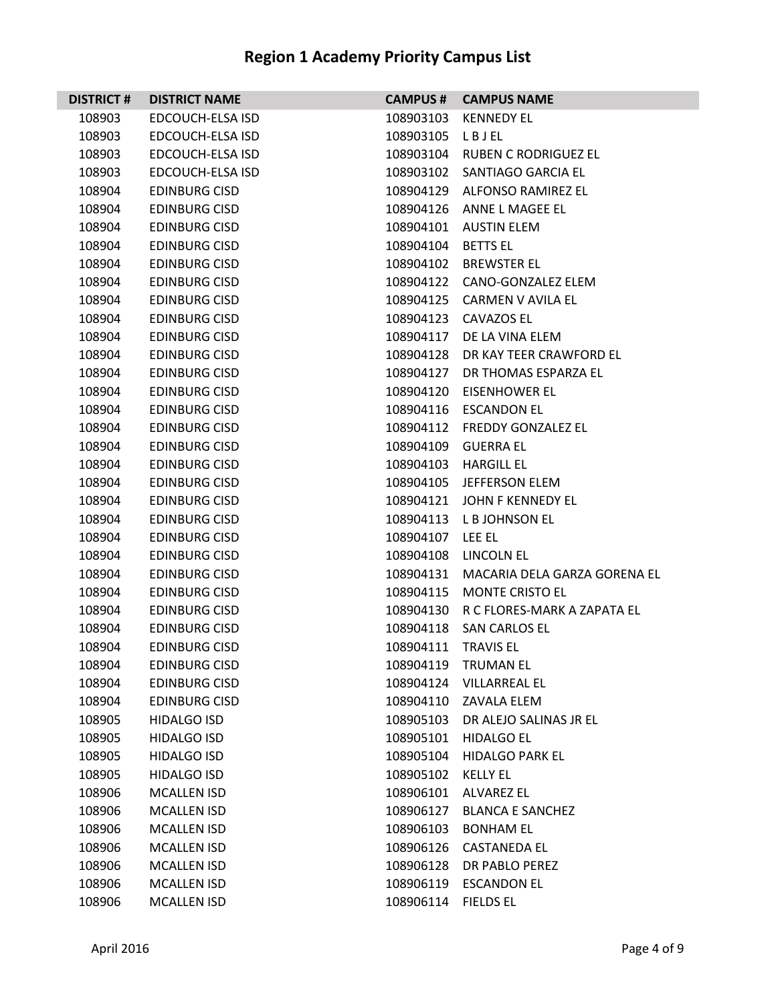| <b>DISTRICT#</b> | <b>DISTRICT NAME</b> | <b>CAMPUS #</b>    | <b>CAMPUS NAME</b>                    |
|------------------|----------------------|--------------------|---------------------------------------|
| 108903           | EDCOUCH-ELSA ISD     | 108903103          | <b>KENNEDY EL</b>                     |
| 108903           | EDCOUCH-ELSA ISD     | 108903105          | LBJEL                                 |
| 108903           | EDCOUCH-ELSA ISD     |                    | 108903104 RUBEN C RODRIGUEZ EL        |
| 108903           | EDCOUCH-ELSA ISD     |                    | 108903102 SANTIAGO GARCIA EL          |
| 108904           | <b>EDINBURG CISD</b> |                    | 108904129 ALFONSO RAMIREZ EL          |
| 108904           | <b>EDINBURG CISD</b> |                    | 108904126 ANNE L MAGEE EL             |
| 108904           | <b>EDINBURG CISD</b> | 108904101          | <b>AUSTIN ELEM</b>                    |
| 108904           | <b>EDINBURG CISD</b> | 108904104 BETTS EL |                                       |
| 108904           | <b>EDINBURG CISD</b> |                    | 108904102 BREWSTER EL                 |
| 108904           | EDINBURG CISD        |                    | 108904122 CANO-GONZALEZ ELEM          |
| 108904           | <b>EDINBURG CISD</b> | 108904125          | CARMEN V AVILA EL                     |
| 108904           | <b>EDINBURG CISD</b> | 108904123          | <b>CAVAZOS EL</b>                     |
| 108904           | <b>EDINBURG CISD</b> | 108904117          | DE LA VINA ELEM                       |
| 108904           | <b>EDINBURG CISD</b> |                    | 108904128 DR KAY TEER CRAWFORD EL     |
| 108904           | EDINBURG CISD        |                    | 108904127 DR THOMAS ESPARZA EL        |
| 108904           | <b>EDINBURG CISD</b> |                    | 108904120 EISENHOWER EL               |
| 108904           | <b>EDINBURG CISD</b> |                    | 108904116 ESCANDON EL                 |
| 108904           | <b>EDINBURG CISD</b> |                    | 108904112 FREDDY GONZALEZ EL          |
| 108904           | <b>EDINBURG CISD</b> | 108904109          | <b>GUERRA EL</b>                      |
| 108904           | <b>EDINBURG CISD</b> |                    | 108904103 HARGILL EL                  |
| 108904           | <b>EDINBURG CISD</b> |                    | 108904105 JEFFERSON ELEM              |
| 108904           | <b>EDINBURG CISD</b> | 108904121          | JOHN F KENNEDY EL                     |
| 108904           | <b>EDINBURG CISD</b> |                    | 108904113 L B JOHNSON EL              |
| 108904           | <b>EDINBURG CISD</b> | 108904107          | LEE EL                                |
| 108904           | <b>EDINBURG CISD</b> |                    | 108904108 LINCOLN EL                  |
| 108904           | <b>EDINBURG CISD</b> | 108904131          | MACARIA DELA GARZA GORENA EL          |
| 108904           | <b>EDINBURG CISD</b> | 108904115          | <b>MONTE CRISTO EL</b>                |
| 108904           | <b>EDINBURG CISD</b> |                    | 108904130 R C FLORES-MARK A ZAPATA EL |
| 108904           | <b>EDINBURG CISD</b> | 108904118          | <b>SAN CARLOS EL</b>                  |
| 108904           | <b>EDINBURG CISD</b> | 108904111          | <b>TRAVIS EL</b>                      |
| 108904           | <b>EDINBURG CISD</b> | 108904119          | <b>TRUMAN EL</b>                      |
| 108904           | <b>EDINBURG CISD</b> | 108904124          | <b>VILLARREAL EL</b>                  |
| 108904           | <b>EDINBURG CISD</b> |                    | 108904110 ZAVALA ELEM                 |
| 108905           | <b>HIDALGO ISD</b>   | 108905103          | DR ALEJO SALINAS JR EL                |
| 108905           | <b>HIDALGO ISD</b>   | 108905101          | <b>HIDALGO EL</b>                     |
| 108905           | <b>HIDALGO ISD</b>   | 108905104          | <b>HIDALGO PARK EL</b>                |
| 108905           | <b>HIDALGO ISD</b>   | 108905102          | <b>KELLY EL</b>                       |
| 108906           | MCALLEN ISD          | 108906101          | <b>ALVAREZ EL</b>                     |
| 108906           | <b>MCALLEN ISD</b>   | 108906127          | <b>BLANCA E SANCHEZ</b>               |
| 108906           | <b>MCALLEN ISD</b>   | 108906103          | <b>BONHAM EL</b>                      |
| 108906           | <b>MCALLEN ISD</b>   | 108906126          | <b>CASTANEDA EL</b>                   |
| 108906           | <b>MCALLEN ISD</b>   | 108906128          | DR PABLO PEREZ                        |
| 108906           | <b>MCALLEN ISD</b>   | 108906119          | <b>ESCANDON EL</b>                    |
| 108906           | <b>MCALLEN ISD</b>   | 108906114          | <b>FIELDS EL</b>                      |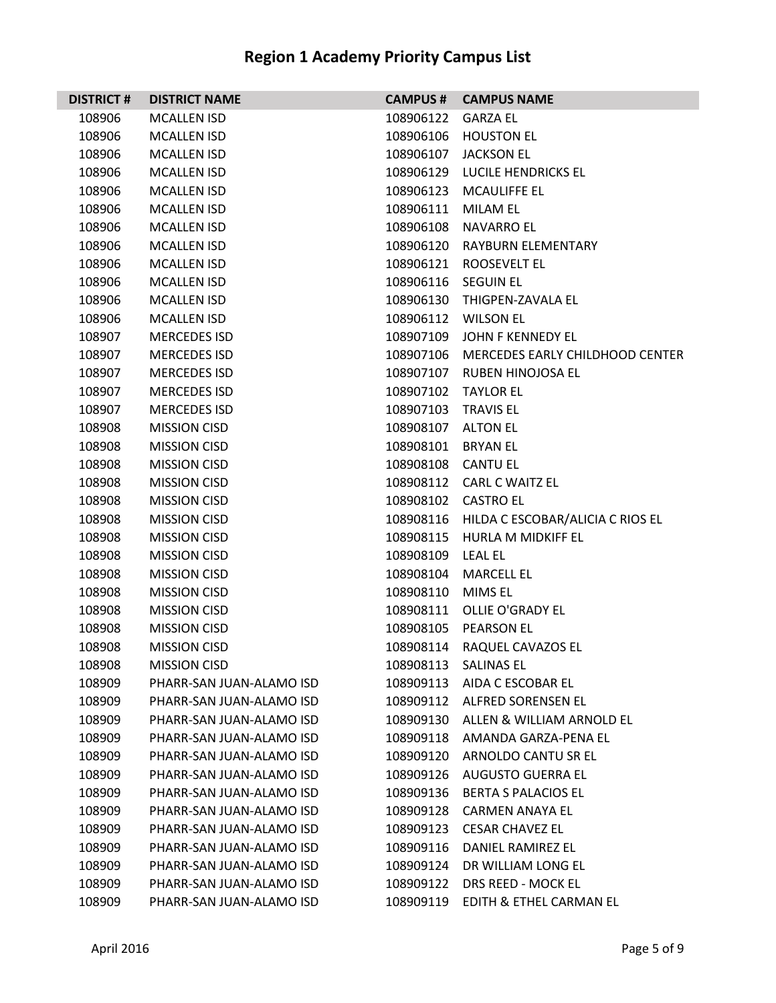| <b>DISTRICT#</b> | <b>DISTRICT NAME</b>     | <b>CAMPUS #</b>     | <b>CAMPUS NAME</b>                         |
|------------------|--------------------------|---------------------|--------------------------------------------|
| 108906           | <b>MCALLEN ISD</b>       | 108906122           | <b>GARZA EL</b>                            |
| 108906           | <b>MCALLEN ISD</b>       | 108906106           | <b>HOUSTON EL</b>                          |
| 108906           | <b>MCALLEN ISD</b>       | 108906107           | <b>JACKSON EL</b>                          |
| 108906           | <b>MCALLEN ISD</b>       | 108906129           | LUCILE HENDRICKS EL                        |
| 108906           | <b>MCALLEN ISD</b>       |                     | 108906123 MCAULIFFE EL                     |
| 108906           | <b>MCALLEN ISD</b>       | 108906111           | <b>MILAM EL</b>                            |
| 108906           | <b>MCALLEN ISD</b>       | 108906108           | <b>NAVARRO EL</b>                          |
| 108906           | <b>MCALLEN ISD</b>       |                     | 108906120 RAYBURN ELEMENTARY               |
| 108906           | <b>MCALLEN ISD</b>       | 108906121           | <b>ROOSEVELT EL</b>                        |
| 108906           | <b>MCALLEN ISD</b>       | 108906116 SEGUIN EL |                                            |
| 108906           | <b>MCALLEN ISD</b>       | 108906130           | THIGPEN-ZAVALA EL                          |
| 108906           | <b>MCALLEN ISD</b>       | 108906112           | <b>WILSON EL</b>                           |
| 108907           | <b>MERCEDES ISD</b>      | 108907109           | JOHN F KENNEDY EL                          |
| 108907           | <b>MERCEDES ISD</b>      |                     | 108907106 MERCEDES EARLY CHILDHOOD CENTER  |
| 108907           | <b>MERCEDES ISD</b>      |                     | 108907107 RUBEN HINOJOSA EL                |
| 108907           | <b>MERCEDES ISD</b>      | 108907102           | <b>TAYLOR EL</b>                           |
| 108907           | <b>MERCEDES ISD</b>      | 108907103           | <b>TRAVIS EL</b>                           |
| 108908           | <b>MISSION CISD</b>      | 108908107 ALTON EL  |                                            |
| 108908           | <b>MISSION CISD</b>      | 108908101           | <b>BRYAN EL</b>                            |
| 108908           | <b>MISSION CISD</b>      | 108908108 CANTU EL  |                                            |
| 108908           | <b>MISSION CISD</b>      | 108908112           | <b>CARL C WAITZ EL</b>                     |
| 108908           | <b>MISSION CISD</b>      | 108908102           | <b>CASTRO EL</b>                           |
| 108908           | <b>MISSION CISD</b>      |                     | 108908116 HILDA C ESCOBAR/ALICIA C RIOS EL |
| 108908           | <b>MISSION CISD</b>      | 108908115           | HURLA M MIDKIFF EL                         |
| 108908           | <b>MISSION CISD</b>      | 108908109           | <b>LEAL EL</b>                             |
| 108908           | <b>MISSION CISD</b>      | 108908104           | <b>MARCELL EL</b>                          |
| 108908           | <b>MISSION CISD</b>      | 108908110           | <b>MIMS EL</b>                             |
| 108908           | <b>MISSION CISD</b>      | 108908111           | OLLIE O'GRADY EL                           |
| 108908           | <b>MISSION CISD</b>      | 108908105           | <b>PEARSON EL</b>                          |
| 108908           | <b>MISSION CISD</b>      |                     | 108908114 RAQUEL CAVAZOS EL                |
| 108908           | <b>MISSION CISD</b>      | 108908113           | <b>SALINAS EL</b>                          |
| 108909           | PHARR-SAN JUAN-ALAMO ISD | 108909113           | AIDA C ESCOBAR EL                          |
| 108909           | PHARR-SAN JUAN-ALAMO ISD |                     | 108909112 ALFRED SORENSEN EL               |
| 108909           | PHARR-SAN JUAN-ALAMO ISD | 108909130           | ALLEN & WILLIAM ARNOLD EL                  |
| 108909           | PHARR-SAN JUAN-ALAMO ISD | 108909118           | AMANDA GARZA-PENA EL                       |
| 108909           | PHARR-SAN JUAN-ALAMO ISD | 108909120           | ARNOLDO CANTU SR EL                        |
| 108909           | PHARR-SAN JUAN-ALAMO ISD | 108909126           | AUGUSTO GUERRA EL                          |
| 108909           | PHARR-SAN JUAN-ALAMO ISD | 108909136           | <b>BERTA S PALACIOS EL</b>                 |
| 108909           | PHARR-SAN JUAN-ALAMO ISD | 108909128           | <b>CARMEN ANAYA EL</b>                     |
| 108909           | PHARR-SAN JUAN-ALAMO ISD | 108909123           | <b>CESAR CHAVEZ EL</b>                     |
| 108909           | PHARR-SAN JUAN-ALAMO ISD | 108909116           | DANIEL RAMIREZ EL                          |
| 108909           | PHARR-SAN JUAN-ALAMO ISD | 108909124           | DR WILLIAM LONG EL                         |
| 108909           | PHARR-SAN JUAN-ALAMO ISD | 108909122           | DRS REED - MOCK EL                         |
| 108909           | PHARR-SAN JUAN-ALAMO ISD | 108909119           | EDITH & ETHEL CARMAN EL                    |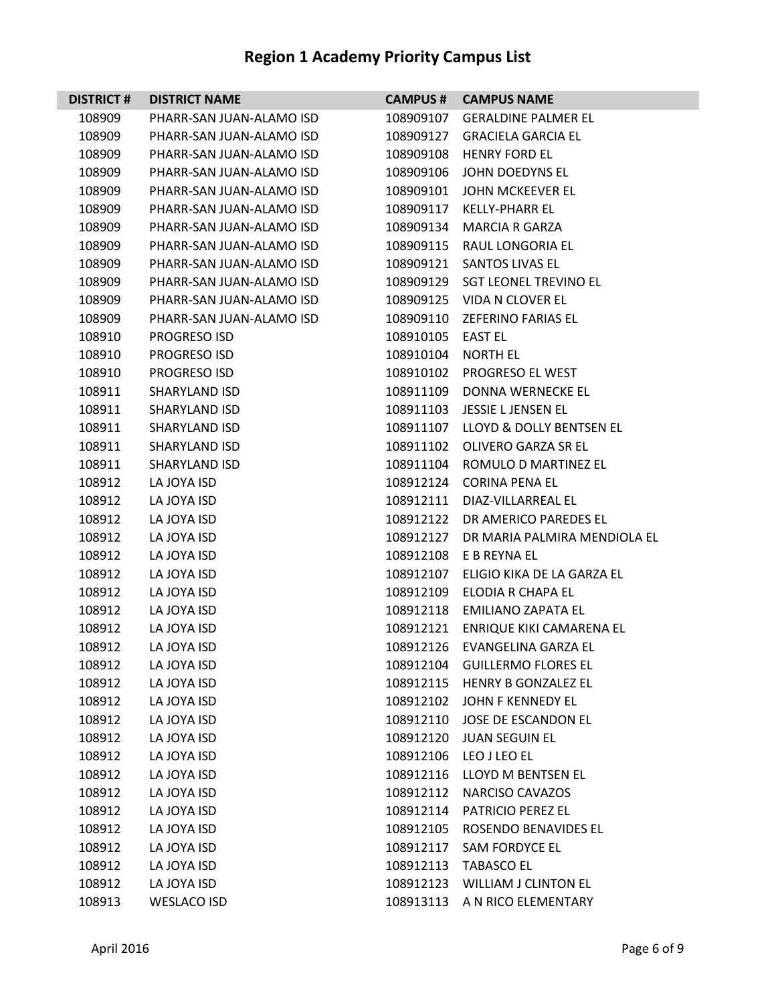| <b>DISTRICT#</b> | <b>DISTRICT NAME</b>     | <b>CAMPUS #</b>   | <b>CAMPUS NAME</b>              |
|------------------|--------------------------|-------------------|---------------------------------|
| 108909           | PHARR-SAN JUAN-ALAMO ISD | 108909107         | <b>GERALDINE PALMER EL</b>      |
| 108909           | PHARR-SAN JUAN-ALAMO ISD | 108909127         | <b>GRACIELA GARCIA EL</b>       |
| 108909           | PHARR-SAN JUAN-ALAMO ISD | 108909108         | <b>HENRY FORD EL</b>            |
| 108909           | PHARR-SAN JUAN-ALAMO ISD | 108909106         | JOHN DOEDYNS EL                 |
| 108909           | PHARR-SAN JUAN-ALAMO ISD | 108909101         | JOHN MCKEEVER EL                |
| 108909           | PHARR-SAN JUAN-ALAMO ISD | 108909117         | <b>KELLY-PHARR EL</b>           |
| 108909           | PHARR-SAN JUAN-ALAMO ISD | 108909134         | <b>MARCIA R GARZA</b>           |
| 108909           | PHARR-SAN JUAN-ALAMO ISD |                   | 108909115 RAUL LONGORIA EL      |
| 108909           | PHARR-SAN JUAN-ALAMO ISD | 108909121         | SANTOS LIVAS EL                 |
| 108909           | PHARR-SAN JUAN-ALAMO ISD |                   | 108909129 SGT LEONEL TREVINO EL |
| 108909           | PHARR-SAN JUAN-ALAMO ISD |                   | 108909125 VIDA N CLOVER EL      |
| 108909           | PHARR-SAN JUAN-ALAMO ISD | 108909110         | ZEFERINO FARIAS EL              |
| 108910           | <b>PROGRESO ISD</b>      | 108910105 EAST EL |                                 |
| 108910           | PROGRESO ISD             | 108910104         | <b>NORTH EL</b>                 |
| 108910           | PROGRESO ISD             |                   | 108910102 PROGRESO EL WEST      |
| 108911           | SHARYLAND ISD            | 108911109         | DONNA WERNECKE EL               |
| 108911           | <b>SHARYLAND ISD</b>     | 108911103         | JESSIE L JENSEN EL              |
| 108911           | <b>SHARYLAND ISD</b>     | 108911107         | LLOYD & DOLLY BENTSEN EL        |
| 108911           | <b>SHARYLAND ISD</b>     | 108911102         | <b>OLIVERO GARZA SR EL</b>      |
| 108911           | <b>SHARYLAND ISD</b>     |                   | 108911104 ROMULO D MARTINEZ EL  |
| 108912           | LA JOYA ISD              | 108912124         | <b>CORINA PENA EL</b>           |
| 108912           | LA JOYA ISD              | 108912111         | DIAZ-VILLARREAL EL              |
| 108912           | LA JOYA ISD              |                   | 108912122 DR AMERICO PAREDES EL |
| 108912           | LA JOYA ISD              | 108912127         | DR MARIA PALMIRA MENDIOLA EL    |
| 108912           | LA JOYA ISD              |                   | 108912108 E B REYNA EL          |
| 108912           | LA JOYA ISD              | 108912107         | ELIGIO KIKA DE LA GARZA EL      |
| 108912           | LA JOYA ISD              | 108912109         | ELODIA R CHAPA EL               |
| 108912           | LA JOYA ISD              |                   | 108912118 EMILIANO ZAPATA EL    |
| 108912           | LA JOYA ISD              | 108912121         | ENRIQUE KIKI CAMARENA EL        |
| 108912           | LA JOYA ISD              |                   | 108912126 EVANGELINA GARZA EL   |
| 108912           | LA JOYA ISD              | 108912104         | <b>GUILLERMO FLORES EL</b>      |
| 108912           | LA JOYA ISD              |                   | 108912115 HENRY B GONZALEZ EL   |
| 108912           | LA JOYA ISD              |                   | 108912102 JOHN F KENNEDY EL     |
| 108912           | LA JOYA ISD              |                   | 108912110 JOSE DE ESCANDON EL   |
| 108912           | LA JOYA ISD              | 108912120         | <b>JUAN SEGUIN EL</b>           |
| 108912           | LA JOYA ISD              |                   | 108912106 LEO J LEO EL          |
| 108912           | LA JOYA ISD              |                   | 108912116 LLOYD M BENTSEN EL    |
| 108912           | LA JOYA ISD              | 108912112         | NARCISO CAVAZOS                 |
| 108912           | LA JOYA ISD              | 108912114         | PATRICIO PEREZ EL               |
| 108912           | LA JOYA ISD              | 108912105         | ROSENDO BENAVIDES EL            |
| 108912           | LA JOYA ISD              | 108912117         | <b>SAM FORDYCE EL</b>           |
| 108912           | LA JOYA ISD              | 108912113         | <b>TABASCO EL</b>               |
| 108912           | LA JOYA ISD              |                   | 108912123 WILLIAM J CLINTON EL  |
| 108913           | <b>WESLACO ISD</b>       | 108913113         | A N RICO ELEMENTARY             |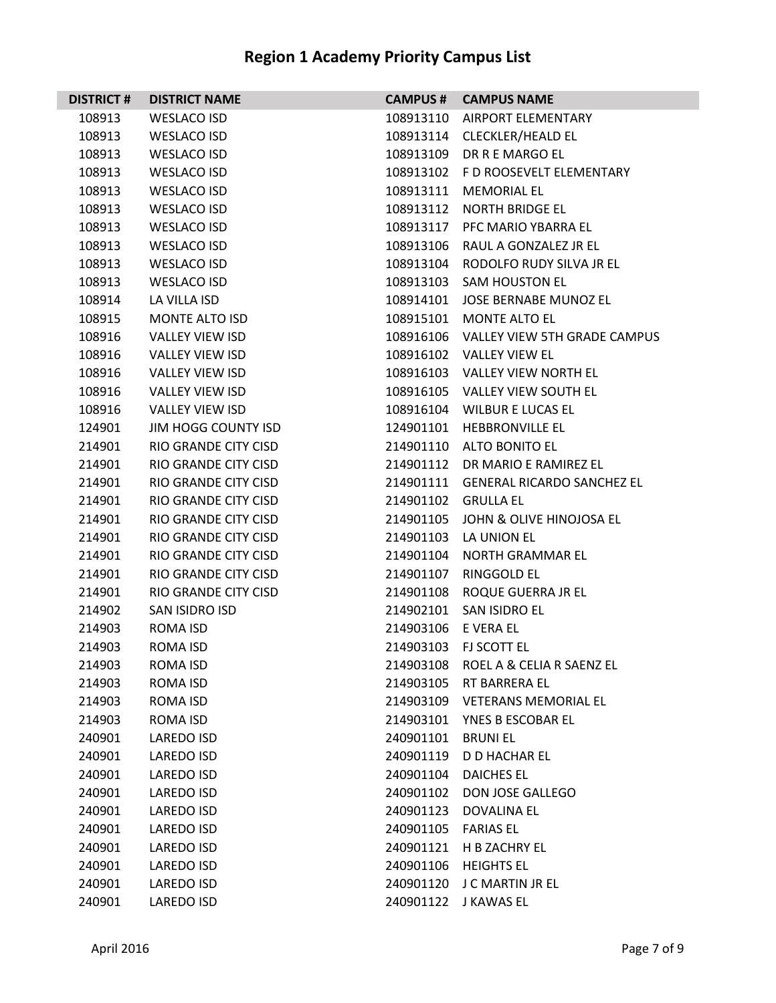| <b>DISTRICT#</b> | <b>DISTRICT NAME</b>        |                     | <b>CAMPUS # CAMPUS NAME</b>            |
|------------------|-----------------------------|---------------------|----------------------------------------|
| 108913           | <b>WESLACO ISD</b>          |                     | 108913110 AIRPORT ELEMENTARY           |
| 108913           | <b>WESLACO ISD</b>          |                     | 108913114 CLECKLER/HEALD EL            |
| 108913           | <b>WESLACO ISD</b>          |                     | 108913109 DR R E MARGO EL              |
| 108913           | WESLACO ISD                 |                     | 108913102 FD ROOSEVELT ELEMENTARY      |
| 108913           | <b>WESLACO ISD</b>          |                     | 108913111 MEMORIAL EL                  |
| 108913           | <b>WESLACO ISD</b>          |                     | 108913112 NORTH BRIDGE EL              |
| 108913           | <b>WESLACO ISD</b>          |                     | 108913117 PFC MARIO YBARRA EL          |
| 108913           | <b>WESLACO ISD</b>          |                     | 108913106 RAUL A GONZALEZ JR EL        |
| 108913           | WESLACO ISD                 |                     | 108913104 RODOLFO RUDY SILVA JR EL     |
| 108913           | <b>WESLACO ISD</b>          |                     | 108913103 SAM HOUSTON EL               |
| 108914           | LA VILLA ISD                |                     | 108914101 JOSE BERNABE MUNOZ EL        |
| 108915           | <b>MONTE ALTO ISD</b>       |                     | 108915101 MONTE ALTO EL                |
| 108916           | <b>VALLEY VIEW ISD</b>      |                     | 108916106 VALLEY VIEW 5TH GRADE CAMPUS |
| 108916           | <b>VALLEY VIEW ISD</b>      |                     | 108916102 VALLEY VIEW EL               |
| 108916           | <b>VALLEY VIEW ISD</b>      |                     | 108916103 VALLEY VIEW NORTH EL         |
| 108916           | <b>VALLEY VIEW ISD</b>      |                     | 108916105 VALLEY VIEW SOUTH EL         |
| 108916           | <b>VALLEY VIEW ISD</b>      |                     | 108916104 WILBUR E LUCAS EL            |
| 124901           | JIM HOGG COUNTY ISD         |                     | 124901101 HEBBRONVILLE EL              |
| 214901           | <b>RIO GRANDE CITY CISD</b> |                     | 214901110 ALTO BONITO EL               |
| 214901           | RIO GRANDE CITY CISD        |                     | 214901112 DR MARIO E RAMIREZ EL        |
| 214901           | RIO GRANDE CITY CISD        |                     | 214901111 GENERAL RICARDO SANCHEZ EL   |
| 214901           | <b>RIO GRANDE CITY CISD</b> | 214901102 GRULLA EL |                                        |
| 214901           | RIO GRANDE CITY CISD        |                     | 214901105 JOHN & OLIVE HINOJOSA EL     |
| 214901           | <b>RIO GRANDE CITY CISD</b> |                     | 214901103 LA UNION EL                  |
| 214901           | RIO GRANDE CITY CISD        |                     | 214901104 NORTH GRAMMAR EL             |
| 214901           | RIO GRANDE CITY CISD        | 214901107           | RINGGOLD EL                            |
| 214901           | <b>RIO GRANDE CITY CISD</b> | 214901108           | ROQUE GUERRA JR EL                     |
| 214902           | SAN ISIDRO ISD              |                     | 214902101 SAN ISIDRO EL                |
| 214903           | ROMA ISD                    | 214903106 E VERA EL |                                        |
| 214903           | <b>ROMA ISD</b>             |                     | 214903103 FJ SCOTT EL                  |
| 214903           | <b>ROMA ISD</b>             | 214903108           | ROEL A & CELIA R SAENZ EL              |
| 214903           | ROMA ISD                    | 214903105           | RT BARRERA EL                          |
| 214903           | ROMA ISD                    |                     | 214903109 VETERANS MEMORIAL EL         |
| 214903           | ROMA ISD                    | 214903101           | YNES B ESCOBAR EL                      |
| 240901           | <b>LAREDO ISD</b>           | 240901101           | <b>BRUNIEL</b>                         |
| 240901           | LAREDO ISD                  | 240901119           | <b>D D HACHAR EL</b>                   |
| 240901           | LAREDO ISD                  | 240901104           | <b>DAICHES EL</b>                      |
| 240901           | LAREDO ISD                  |                     | 240901102 DON JOSE GALLEGO             |
| 240901           | LAREDO ISD                  | 240901123           | <b>DOVALINA EL</b>                     |
| 240901           | <b>LAREDO ISD</b>           | 240901105           | <b>FARIAS EL</b>                       |
| 240901           | LAREDO ISD                  | 240901121           | H B ZACHRY EL                          |
| 240901           | LAREDO ISD                  | 240901106           | <b>HEIGHTS EL</b>                      |
| 240901           | LAREDO ISD                  |                     | 240901120 J C MARTIN JR EL             |
| 240901           | LAREDO ISD                  | 240901122           | J KAWAS EL                             |